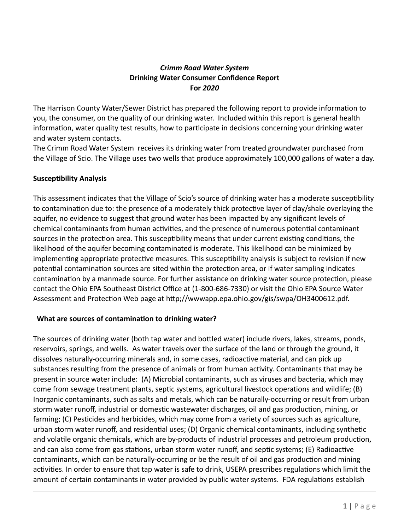### *Crimm Road Water System* **Drinking Water Consumer Confidence Report For** *2020*

The Harrison County Water/Sewer District has prepared the following report to provide information to you, the consumer, on the quality of our drinking water. Included within this report is general health information, water quality test results, how to participate in decisions concerning your drinking water and water system contacts.

The Crimm Road Water System receives its drinking water from treated groundwater purchased from the Village of Scio. The Village uses two wells that produce approximately 100,000 gallons of water a day.

### **Susceptibility Analysis**

This assessment indicates that the Village of Scio's source of drinking water has a moderate susceptibility to contamination due to: the presence of a moderately thick protective layer of clay/shale overlaying the aquifer, no evidence to suggest that ground water has been impacted by any significant levels of chemical contaminants from human activities, and the presence of numerous potential contaminant sources in the protection area. This susceptibility means that under current existing conditions, the likelihood of the aquifer becoming contaminated is moderate. This likelihood can be minimized by implementing appropriate protective measures. This susceptibility analysis is subject to revision if new potential contamination sources are sited within the protection area, or if water sampling indicates contamination by a manmade source. For further assistance on drinking water source protection, please contact the Ohio EPA Southeast District Office at (1-800-686-7330) or visit the Ohio EPA Source Water Assessment and Protection Web page at http;//wwwapp.epa.ohio.gov/gis/swpa/OH3400612.pdf.

### **What are sources of contamination to drinking water?**

The sources of drinking water (both tap water and bottled water) include rivers, lakes, streams, ponds, reservoirs, springs, and wells. As water travels over the surface of the land or through the ground, it dissolves naturally-occurring minerals and, in some cases, radioactive material, and can pick up substances resulting from the presence of animals or from human activity. Contaminants that may be present in source water include: (A) Microbial contaminants, such as viruses and bacteria, which may come from sewage treatment plants, septic systems, agricultural livestock operations and wildlife; (B) Inorganic contaminants, such as salts and metals, which can be naturally-occurring or result from urban storm water runoff, industrial or domestic wastewater discharges, oil and gas production, mining, or farming; (C) Pesticides and herbicides, which may come from a variety of sources such as agriculture, urban storm water runoff, and residential uses; (D) Organic chemical contaminants, including synthetic and volatile organic chemicals, which are by-products of industrial processes and petroleum production, and can also come from gas stations, urban storm water runoff, and septic systems; (E) Radioactive contaminants, which can be naturally-occurring or be the result of oil and gas production and mining activities. In order to ensure that tap water is safe to drink, USEPA prescribes regulations which limit the amount of certain contaminants in water provided by public water systems. FDA regulations establish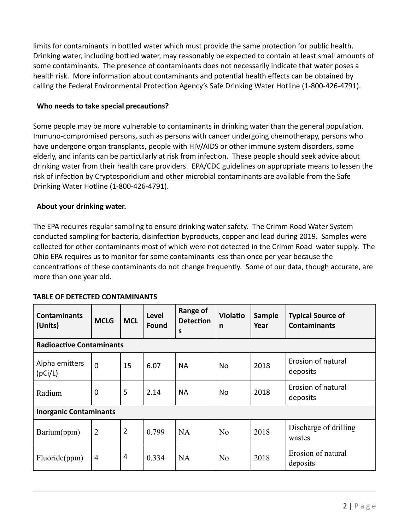limits for contaminants in bottled water which must provide the same protection for public health. Drinking water, including bottled water, may reasonably be expected to contain at least small amounts of some contaminants. The presence of contaminants does not necessarily indicate that water poses a health risk. More information about contaminants and potential health effects can be obtained by calling the Federal Environmental Protection Agency's Safe Drinking Water Hotline (1-800-426-4791).

#### **Who needs to take special precautions?**

Some people may be more vulnerable to contaminants in drinking water than the general population. Immuno-compromised persons, such as persons with cancer undergoing chemotherapy, persons who have undergone organ transplants, people with HIV/AIDS or other immune system disorders, some elderly, and infants can be particularly at risk from infection. These people should seek advice about drinking water from their health care providers. EPA/CDC guidelines on appropriate means to lessen the risk of infection by Cryptosporidium and other microbial contaminants are available from the Safe Drinking Water Hotline (1-800-426-4791).

### **About your drinking water.**

The EPA requires regular sampling to ensure drinking water safety. The Crimm Road Water System conducted sampling for bacteria, disinfection byproducts, copper and lead during 2019. Samples were collected for other contaminants most of which were not detected in the Crimm Road water supply. The Ohio EPA requires us to monitor for some contaminants less than once per year because the concentrations of these contaminants do not change frequently. Some of our data, though accurate, are more than one year old.

| <b>Contaminants</b><br>(Units)  | <b>MCLG</b>    | <b>MCL</b>     | Level<br><b>Found</b> | Range of<br><b>Detection</b><br>S | <b>Violatio</b><br>n | Sample<br>Year | <b>Typical Source of</b><br><b>Contaminants</b> |  |  |  |  |
|---------------------------------|----------------|----------------|-----------------------|-----------------------------------|----------------------|----------------|-------------------------------------------------|--|--|--|--|
| <b>Radioactive Contaminants</b> |                |                |                       |                                   |                      |                |                                                 |  |  |  |  |
| Alpha emitters<br>(pCi/L)       | $\overline{0}$ | 15             | 6.07                  | <b>NA</b>                         | No.                  | 2018           | Erosion of natural<br>deposits                  |  |  |  |  |
| Radium                          | $\mathbf 0$    | 5              | 2.14                  | <b>NA</b>                         | No                   | 2018           | Erosion of natural<br>deposits                  |  |  |  |  |
| <b>Inorganic Contaminants</b>   |                |                |                       |                                   |                      |                |                                                 |  |  |  |  |
| Barium(ppm)                     | $\overline{2}$ | $\overline{2}$ | 0.799                 | <b>NA</b>                         | N <sub>0</sub>       | 2018           | Discharge of drilling<br>wastes                 |  |  |  |  |
| Fluoride(ppm)                   | $\overline{4}$ | 4              | 0.334                 | <b>NA</b>                         | N <sub>0</sub>       | 2018           | Erosion of natural<br>deposits                  |  |  |  |  |

### **TABLE OF DETECTED CONTAMINANTS**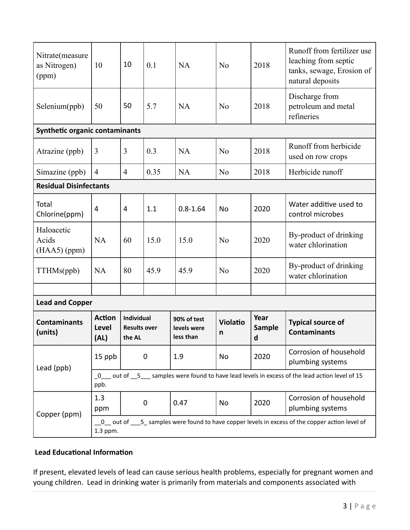| Nitrate(measure<br>as Nitrogen)<br>(ppm) | 10                                                                                                          | 10                                                 | 0.1  | NA                                      | N <sub>0</sub>       | 2018                       | Runoff from fertilizer use<br>leaching from septic<br>tanks, sewage, Erosion of<br>natural deposits |  |  |  |  |
|------------------------------------------|-------------------------------------------------------------------------------------------------------------|----------------------------------------------------|------|-----------------------------------------|----------------------|----------------------------|-----------------------------------------------------------------------------------------------------|--|--|--|--|
| Selenium(ppb)                            | 50                                                                                                          | 50                                                 | 5.7  | <b>NA</b>                               | N <sub>0</sub>       | 2018                       | Discharge from<br>petroleum and metal<br>refineries                                                 |  |  |  |  |
| <b>Synthetic organic contaminants</b>    |                                                                                                             |                                                    |      |                                         |                      |                            |                                                                                                     |  |  |  |  |
| Atrazine (ppb)                           | 3                                                                                                           | 3                                                  | 0.3  | NA                                      | N <sub>0</sub>       | 2018                       | Runoff from herbicide<br>used on row crops                                                          |  |  |  |  |
| Simazine (ppb)                           | $\overline{4}$                                                                                              | $\overline{4}$                                     | 0.35 | <b>NA</b>                               | N <sub>0</sub>       | 2018                       | Herbicide runoff                                                                                    |  |  |  |  |
| <b>Residual Disinfectants</b>            |                                                                                                             |                                                    |      |                                         |                      |                            |                                                                                                     |  |  |  |  |
| Total<br>Chlorine(ppm)                   | 4                                                                                                           | 4                                                  | 1.1  | $0.8 - 1.64$                            | <b>No</b>            | 2020                       | Water additive used to<br>control microbes                                                          |  |  |  |  |
| Haloacetic<br>Acids<br>$(HAA5)$ (ppm)    | <b>NA</b>                                                                                                   | 60                                                 | 15.0 | 15.0                                    | N <sub>0</sub>       | 2020                       | By-product of drinking<br>water chlorination                                                        |  |  |  |  |
| TTHMs(ppb)                               | <b>NA</b>                                                                                                   | 80                                                 | 45.9 | 45.9                                    | N <sub>0</sub>       | 2020                       | By-product of drinking<br>water chlorination                                                        |  |  |  |  |
|                                          |                                                                                                             |                                                    |      |                                         |                      |                            |                                                                                                     |  |  |  |  |
| <b>Lead and Copper</b>                   |                                                                                                             |                                                    |      |                                         |                      |                            |                                                                                                     |  |  |  |  |
| <b>Contaminants</b><br>(units)           | <b>Action</b><br><b>Level</b><br>(AL)                                                                       | <b>Individual</b><br><b>Results over</b><br>the AL |      | 90% of test<br>levels were<br>less than | <b>Violatio</b><br>n | Year<br><b>Sample</b><br>d | <b>Typical source of</b><br><b>Contaminants</b>                                                     |  |  |  |  |
| Lead (ppb)                               | 15 ppb                                                                                                      | $\mathbf 0$                                        |      | 1.9                                     | <b>No</b>            | 2020                       | Corrosion of household<br>plumbing systems                                                          |  |  |  |  |
|                                          | _0___ out of __5___ samples were found to have lead levels in excess of the lead action level of 15<br>ppb. |                                                    |      |                                         |                      |                            |                                                                                                     |  |  |  |  |
| Copper (ppm)                             | 1.3<br>ppm                                                                                                  | $\mathbf 0$                                        |      | 0.47                                    | <b>No</b>            | 2020                       | Corrosion of household<br>plumbing systems                                                          |  |  |  |  |
|                                          | 0 out of 5 samples were found to have copper levels in excess of the copper action level of<br>1.3 ppm.     |                                                    |      |                                         |                      |                            |                                                                                                     |  |  |  |  |

# **Lead Educational Information**

If present, elevated levels of lead can cause serious health problems, especially for pregnant women and young children. Lead in drinking water is primarily from materials and components associated with